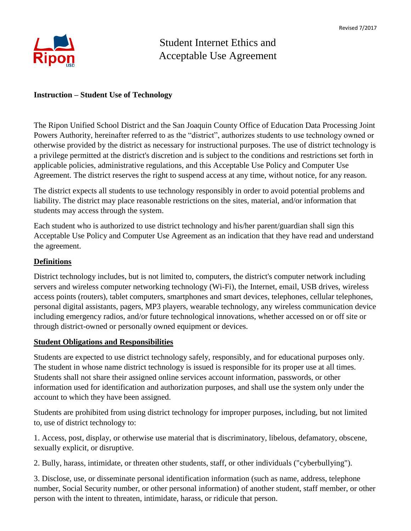

# Student Internet Ethics and Acceptable Use Agreement

### **Instruction – Student Use of Technology**

The Ripon Unified School District and the San Joaquin County Office of Education Data Processing Joint Powers Authority, hereinafter referred to as the "district", authorizes students to use technology owned or otherwise provided by the district as necessary for instructional purposes. The use of district technology is a privilege permitted at the district's discretion and is subject to the conditions and restrictions set forth in applicable policies, administrative regulations, and this Acceptable Use Policy and Computer Use Agreement. The district reserves the right to suspend access at any time, without notice, for any reason.

The district expects all students to use technology responsibly in order to avoid potential problems and liability. The district may place reasonable restrictions on the sites, material, and/or information that students may access through the system.

Each student who is authorized to use district technology and his/her parent/guardian shall sign this Acceptable Use Policy and Computer Use Agreement as an indication that they have read and understand the agreement.

## **Definitions**

District technology includes, but is not limited to, computers, the district's computer network including servers and wireless computer networking technology (Wi-Fi), the Internet, email, USB drives, wireless access points (routers), tablet computers, smartphones and smart devices, telephones, cellular telephones, personal digital assistants, pagers, MP3 players, wearable technology, any wireless communication device including emergency radios, and/or future technological innovations, whether accessed on or off site or through district-owned or personally owned equipment or devices.

#### **Student Obligations and Responsibilities**

Students are expected to use district technology safely, responsibly, and for educational purposes only. The student in whose name district technology is issued is responsible for its proper use at all times. Students shall not share their assigned online services account information, passwords, or other information used for identification and authorization purposes, and shall use the system only under the account to which they have been assigned.

Students are prohibited from using district technology for improper purposes, including, but not limited to, use of district technology to:

1. Access, post, display, or otherwise use material that is discriminatory, libelous, defamatory, obscene, sexually explicit, or disruptive.

2. Bully, harass, intimidate, or threaten other students, staff, or other individuals ("cyberbullying").

3. Disclose, use, or disseminate personal identification information (such as name, address, telephone number, Social Security number, or other personal information) of another student, staff member, or other person with the intent to threaten, intimidate, harass, or ridicule that person.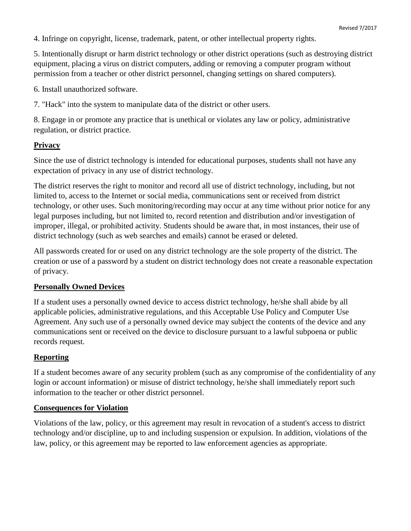4. Infringe on copyright, license, trademark, patent, or other intellectual property rights.

5. Intentionally disrupt or harm district technology or other district operations (such as destroying district equipment, placing a virus on district computers, adding or removing a computer program without permission from a teacher or other district personnel, changing settings on shared computers).

6. Install unauthorized software.

7. "Hack" into the system to manipulate data of the district or other users.

8. Engage in or promote any practice that is unethical or violates any law or policy, administrative regulation, or district practice.

# **Privacy**

Since the use of district technology is intended for educational purposes, students shall not have any expectation of privacy in any use of district technology.

The district reserves the right to monitor and record all use of district technology, including, but not limited to, access to the Internet or social media, communications sent or received from district technology, or other uses. Such monitoring/recording may occur at any time without prior notice for any legal purposes including, but not limited to, record retention and distribution and/or investigation of improper, illegal, or prohibited activity. Students should be aware that, in most instances, their use of district technology (such as web searches and emails) cannot be erased or deleted.

All passwords created for or used on any district technology are the sole property of the district. The creation or use of a password by a student on district technology does not create a reasonable expectation of privacy.

# **Personally Owned Devices**

If a student uses a personally owned device to access district technology, he/she shall abide by all applicable policies, administrative regulations, and this Acceptable Use Policy and Computer Use Agreement. Any such use of a personally owned device may subject the contents of the device and any communications sent or received on the device to disclosure pursuant to a lawful subpoena or public records request.

# **Reporting**

If a student becomes aware of any security problem (such as any compromise of the confidentiality of any login or account information) or misuse of district technology, he/she shall immediately report such information to the teacher or other district personnel.

# **Consequences for Violation**

Violations of the law, policy, or this agreement may result in revocation of a student's access to district technology and/or discipline, up to and including suspension or expulsion. In addition, violations of the law, policy, or this agreement may be reported to law enforcement agencies as appropriate.